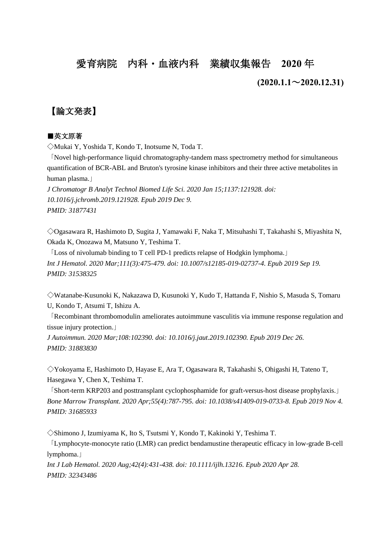# 愛育病院 内科・血液内科 業績収集報告 **2020** 年

#### **(2020.1.1**~**2020.12.31)**

# 【論文発表】

#### ■英文原著

◇Mukai Y, Yoshida T, Kondo T, Inotsume N, Toda T.

「Novel high-performance liquid chromatography-tandem mass spectrometry method for simultaneous quantification of BCR-ABL and Bruton's tyrosine kinase inhibitors and their three active metabolites in human plasma.」

*J Chromatogr B Analyt Technol Biomed Life Sci. 2020 Jan 15;1137:121928. doi: 10.1016/j.jchromb.2019.121928. Epub 2019 Dec 9. PMID: 31877431*

◇Ogasawara R, Hashimoto D, Sugita J, Yamawaki F, Naka T, Mitsuhashi T, Takahashi S, Miyashita N, Okada K, Onozawa M, Matsuno Y, Teshima T.

「Loss of nivolumab binding to T cell PD-1 predicts relapse of Hodgkin lymphoma.」 *Int J Hematol. 2020 Mar;111(3):475-479. doi: 10.1007/s12185-019-02737-4. Epub 2019 Sep 19. PMID: 31538325*

◇Watanabe-Kusunoki K, Nakazawa D, Kusunoki Y, Kudo T, Hattanda F, Nishio S, Masuda S, Tomaru U, Kondo T, Atsumi T, Ishizu A.

「Recombinant thrombomodulin ameliorates autoimmune vasculitis via immune response regulation and tissue injury protection.」

*J Autoimmun. 2020 Mar;108:102390. doi: 10.1016/j.jaut.2019.102390. Epub 2019 Dec 26. PMID: 31883830*

◇Yokoyama E, Hashimoto D, Hayase E, Ara T, Ogasawara R, Takahashi S, Ohigashi H, Tateno T, Hasegawa Y, Chen X, Teshima T.

「Short-term KRP203 and posttransplant cyclophosphamide for graft-versus-host disease prophylaxis.」 *Bone Marrow Transplant. 2020 Apr;55(4):787-795. doi: 10.1038/s41409-019-0733-8. Epub 2019 Nov 4. PMID: 31685933*

◇Shimono J, Izumiyama K, Ito S, Tsutsmi Y, Kondo T, Kakinoki Y, Teshima T.

「Lymphocyte-monocyte ratio (LMR) can predict bendamustine therapeutic efficacy in low-grade B-cell lymphoma.」

*Int J Lab Hematol. 2020 Aug;42(4):431-438. doi: 10.1111/ijlh.13216. Epub 2020 Apr 28. PMID: 32343486*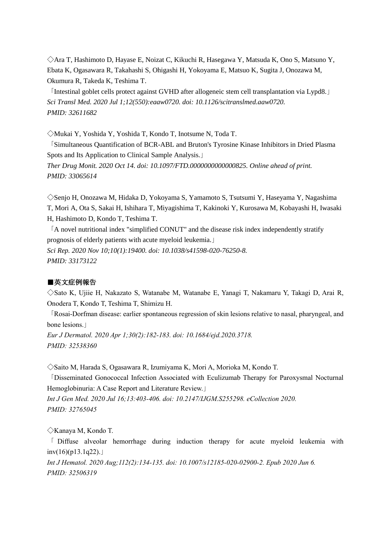◇Ara T, Hashimoto D, Hayase E, Noizat C, Kikuchi R, Hasegawa Y, Matsuda K, Ono S, Matsuno Y, Ebata K, Ogasawara R, Takahashi S, Ohigashi H, Yokoyama E, Matsuo K, Sugita J, Onozawa M, Okumura R, Takeda K, Teshima T.

「Intestinal goblet cells protect against GVHD after allogeneic stem cell transplantation via Lypd8.」 *Sci Transl Med. 2020 Jul 1;12(550):eaaw0720. doi: 10.1126/scitranslmed.aaw0720. PMID: 32611682*

◇Mukai Y, Yoshida Y, Yoshida T, Kondo T, Inotsume N, Toda T.

「Simultaneous Quantification of BCR-ABL and Bruton's Tyrosine Kinase Inhibitors in Dried Plasma Spots and Its Application to Clinical Sample Analysis.」 *Ther Drug Monit. 2020 Oct 14. doi: 10.1097/FTD.0000000000000825. Online ahead of print. PMID: 33065614*

◇Senjo H, Onozawa M, Hidaka D, Yokoyama S, Yamamoto S, Tsutsumi Y, Haseyama Y, Nagashima T, Mori A, Ota S, Sakai H, Ishihara T, Miyagishima T, Kakinoki Y, Kurosawa M, Kobayashi H, Iwasaki H, Hashimoto D, Kondo T, Teshima T.

「A novel nutritional index "simplified CONUT" and the disease risk index independently stratify prognosis of elderly patients with acute myeloid leukemia.」

*Sci Rep. 2020 Nov 10;10(1):19400. doi: 10.1038/s41598-020-76250-8. PMID: 33173122*

#### ■英文症例報告

◇Sato K, Ujiie H, Nakazato S, Watanabe M, Watanabe E, Yanagi T, Nakamaru Y, Takagi D, Arai R, Onodera T, Kondo T, Teshima T, Shimizu H.

「Rosai-Dorfman disease: earlier spontaneous regression of skin lesions relative to nasal, pharyngeal, and bone lesions.」

*Eur J Dermatol. 2020 Apr 1;30(2):182-183. doi: 10.1684/ejd.2020.3718. PMID: 32538360*

◇Saito M, Harada S, Ogasawara R, Izumiyama K, Mori A, Morioka M, Kondo T.

「Disseminated Gonococcal Infection Associated with Eculizumab Therapy for Paroxysmal Nocturnal Hemoglobinuria: A Case Report and Literature Review.」

*Int J Gen Med. 2020 Jul 16;13:403-406. doi: 10.2147/IJGM.S255298. eCollection 2020. PMID: 32765045*

◇Kanaya M, Kondo T.

「 Diffuse alveolar hemorrhage during induction therapy for acute myeloid leukemia with inv $(16)(p13.1q22)$ .

*Int J Hematol. 2020 Aug;112(2):134-135. doi: 10.1007/s12185-020-02900-2. Epub 2020 Jun 6. PMID: 32506319*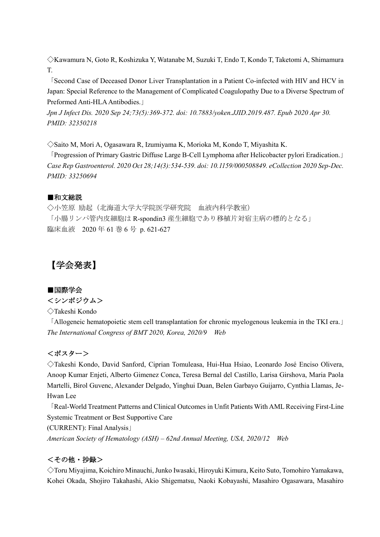◇Kawamura N, Goto R, Koshizuka Y, Watanabe M, Suzuki T, Endo T, Kondo T, Taketomi A, Shimamura T.

「Second Case of Deceased Donor Liver Transplantation in a Patient Co-infected with HIV and HCV in Japan: Special Reference to the Management of Complicated Coagulopathy Due to a Diverse Spectrum of Preformed Anti-HLA Antibodies.」

*Jpn J Infect Dis. 2020 Sep 24;73(5):369-372. doi: 10.7883/yoken.JJID.2019.487. Epub 2020 Apr 30. PMID: 32350218*

◇Saito M, Mori A, Ogasawara R, Izumiyama K, Morioka M, Kondo T, Miyashita K.

「Progression of Primary Gastric Diffuse Large B-Cell Lymphoma after Helicobacter pylori Eradication.」 *Case Rep Gastroenterol. 2020 Oct 28;14(3):534-539. doi: 10.1159/000508849. eCollection 2020 Sep-Dec. PMID: 33250694*

# ■和文総説

◇小笠原 励起(北海道大学大学院医学研究院 血液内科学教室) 「小腸リンパ管内皮細胞は R-spondin3 産生細胞であり移植片対宿主病の標的となる」 臨床血液 2020 年 61 巻 6 号 p. 621-627

# 【学会発表】

# ■国際学会

<シンポジウム>

◇Takeshi Kondo

「Allogeneic hematopoietic stem cell transplantation for chronic myelogenous leukemia in the TKI era.」 *The International Congress of BMT 2020, Korea, 2020/9 Web*

# <ポスター>

◇Takeshi Kondo, David Sanford, Ciprian Tomuleasa, Hui-Hua Hsiao, Leonardo José Enciso Olivera, Anoop Kumar Enjeti, Alberto Gimenez Conca, Teresa Bernal del Castillo, Larisa Girshova, Maria Paola Martelli, Birol Guvenc, Alexander Delgado, Yinghui Duan, Belen Garbayo Guijarro, Cynthia Llamas, Je-Hwan Lee

「Real-World Treatment Patterns and Clinical Outcomes in Unfit Patients With AML Receiving First-Line Systemic Treatment or Best Supportive Care (CURRENT): Final Analysis」 *American Society of Hematology (ASH) – 62nd Annual Meeting, USA, 2020/12 Web*

# <その他・抄録>

◇Toru Miyajima, Koichiro Minauchi, Junko Iwasaki, Hiroyuki Kimura, Keito Suto, Tomohiro Yamakawa, Kohei Okada, Shojiro Takahashi, Akio Shigematsu, Naoki Kobayashi, Masahiro Ogasawara, Masahiro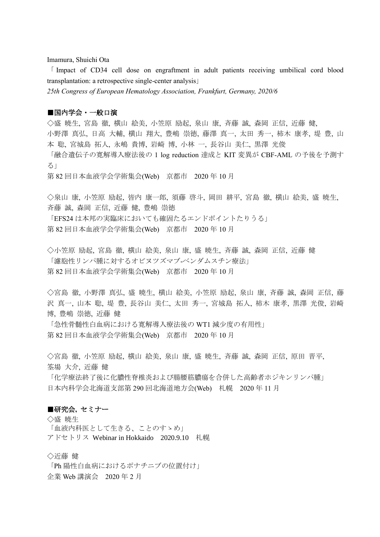Imamura, Shuichi Ota

「 Impact of CD34 cell dose on engraftment in adult patients receiving umbilical cord blood transplantation: a retrospective single-center analysis」

*25th Congress of European Hematology Association, Frankfurt, Germany, 2020/6*

#### ■国内学会・一般口演

◇盛 暁生, 宮島 徹, 横山 絵美, 小笠原 励起, 泉山 康, 斉藤 誠, 森岡 正信, 近藤 健, 小野澤 真弘, 日高 大輔, 横山 翔大, 豊嶋 崇徳, 藤澤 真一, 太田 秀一, 柿木 康孝, 堤 豊, 山

本 聡, 宮城島 拓人, 永嶋 貴博, 岩崎 博, 小林 一, 長谷山 美仁, 黒澤 光俊

「融合遺伝子の寛解導入療法後の 1 log reduction 達成と KIT 変異が CBF-AML の予後を予測す る」

第 82 回日本血液学会学術集会(Web) 京都市 2020 年 10 月

◇泉山 康, 小笠原 励起, 皆内 康一郎, 須藤 啓斗, 岡田 耕平, 宮島 徹, 横山 絵美, 盛 暁生, 斉藤 誠, 森岡 正信, 近藤 健, 豊嶋 崇徳

「EFS24 は本邦の実臨床においても確固たるエンドポイントたりうる」 第 82 回日本血液学会学術集会(Web) 京都市 2020 年 10 月

◇小笠原 励起, 宮島 徹, 横山 絵美, 泉山 康, 盛 暁生, 斉藤 誠, 森岡 正信, 近藤 健 「濾胞性リンパ腫に対するオビヌツズマブ-ベンダムスチン療法」 第 82 回日本血液学会学術集会(Web) 京都市 2020 年 10 月

◇宮島 徹, 小野澤 真弘, 盛 暁生, 横山 絵美, 小笠原 励起, 泉山 康, 斉藤 誠, 森岡 正信, 藤 沢 真一, 山本 聡, 堤 豊, 長谷山 美仁, 太田 秀一, 宮城島 拓人, 柿木 康孝, 黒澤 光俊, 岩崎 博, 豊嶋 崇徳, 近藤 健

「急性骨髄性白血病における寛解導入療法後の WT1 減少度の有用性」 第 82 回日本血液学会学術集会(Web) 京都市 2020 年 10 月

◇宮島 徹, 小笠原 励起, 横山 絵美, 泉山 康, 盛 暁生, 斉藤 誠, 森岡 正信, 原田 晋平, 筌場 大介, 近藤 健

「化学療法終了後に化膿性脊椎炎および腸腰筋膿瘍を合併した高齢者ホジキンリンパ腫」 日本内科学会北海道支部第 290 回北海道地方会(Web) 札幌 2020 年 11 月

#### ■研究会. **セミナー**

◇盛 暁生 「血液内科医として生きる、ことのすゝめ」 アドセトリス Webinar in Hokkaido 2020.9.10 札幌

◇近藤 健

「Ph 陽性白血病におけるポナチニブの位置付け」 企業 Web 講演会 2020 年 2 月